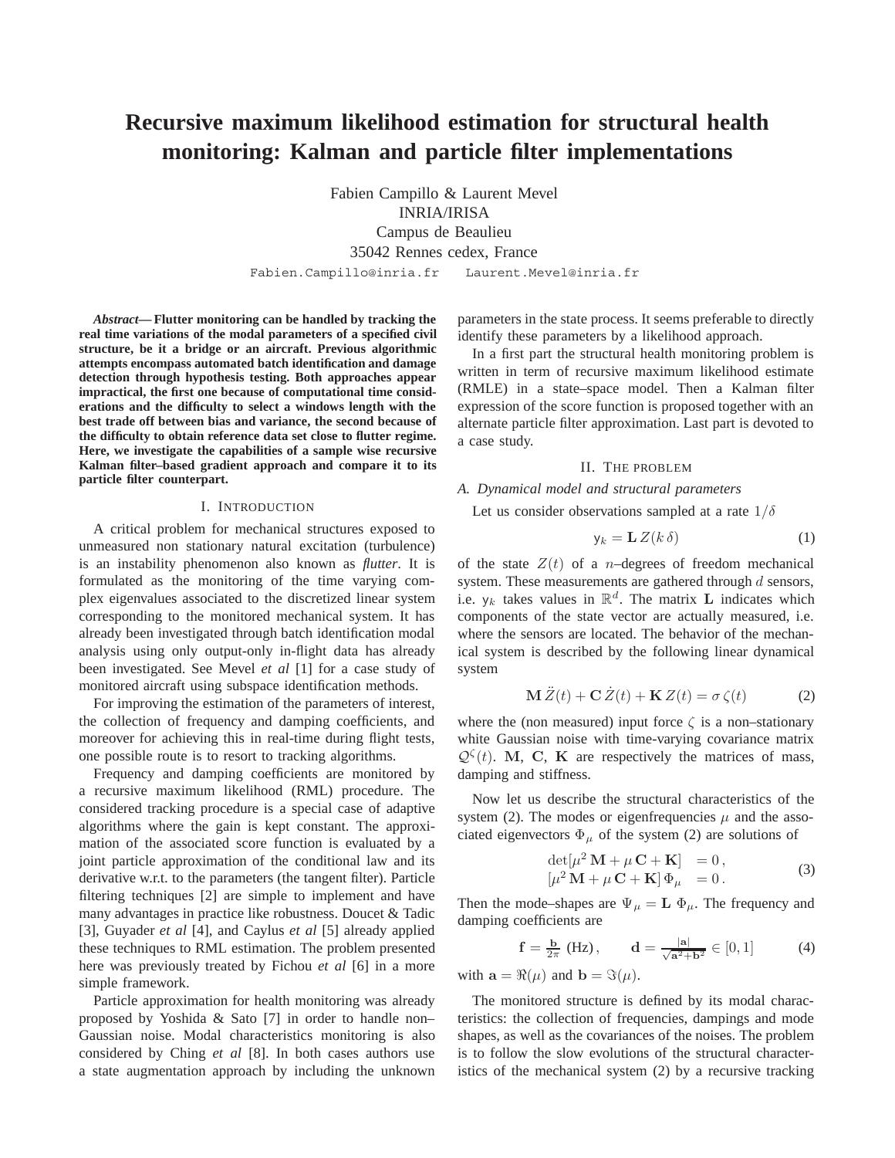# **Recursive maximum likelihood estimation for structural health monitoring: Kalman and particle filter implementations**

Fabien Campillo & Laurent Mevel INRIA/IRISA Campus de Beaulieu 35042 Rennes cedex, France

Fabien.Campillo@inria.fr Laurent.Mevel@inria.fr

*Abstract***— Flutter monitoring can be handled by tracking the real time variations of the modal parameters of a specified civil structure, be it a bridge or an aircraft. Previous algorithmic attempts encompass automated batch identification and damage detection through hypothesis testing. Both approaches appear impractical, the first one because of computational time considerations and the difficulty to select a windows length with the best trade off between bias and variance, the second because of the difficulty to obtain reference data set close to flutter regime. Here, we investigate the capabilities of a sample wise recursive Kalman filter–based gradient approach and compare it to its particle filter counterpart.**

## I. INTRODUCTION

A critical problem for mechanical structures exposed to unmeasured non stationary natural excitation (turbulence) is an instability phenomenon also known as *flutter*. It is formulated as the monitoring of the time varying complex eigenvalues associated to the discretized linear system corresponding to the monitored mechanical system. It has already been investigated through batch identification modal analysis using only output-only in-flight data has already been investigated. See Mevel *et al* [1] for a case study of monitored aircraft using subspace identification methods.

For improving the estimation of the parameters of interest, the collection of frequency and damping coefficients, and moreover for achieving this in real-time during flight tests, one possible route is to resort to tracking algorithms.

Frequency and damping coefficients are monitored by a recursive maximum likelihood (RML) procedure. The considered tracking procedure is a special case of adaptive algorithms where the gain is kept constant. The approximation of the associated score function is evaluated by a joint particle approximation of the conditional law and its derivative w.r.t. to the parameters (the tangent filter). Particle filtering techniques [2] are simple to implement and have many advantages in practice like robustness. Doucet & Tadic [3], Guyader *et al* [4], and Caylus *et al* [5] already applied these techniques to RML estimation. The problem presented here was previously treated by Fichou *et al* [6] in a more simple framework.

Particle approximation for health monitoring was already proposed by Yoshida & Sato [7] in order to handle non– Gaussian noise. Modal characteristics monitoring is also considered by Ching *et al* [8]. In both cases authors use a state augmentation approach by including the unknown

parameters in the state process. It seems preferable to directly identify these parameters by a likelihood approach.

In a first part the structural health monitoring problem is written in term of recursive maximum likelihood estimate (RMLE) in a state–space model. Then a Kalman filter expression of the score function is proposed together with an alternate particle filter approximation. Last part is devoted to a case study.

## II. THE PROBLEM

# *A. Dynamical model and structural parameters*

Let us consider observations sampled at a rate  $1/\delta$ 

$$
y_k = L Z(k \delta)
$$
 (1)

of the state  $Z(t)$  of a *n*-degrees of freedom mechanical system. These measurements are gathered through  $d$  sensors, i.e.  $y_k$  takes values in  $\mathbb{R}^d$ . The matrix **L** indicates which components of the state vector are actually measured, i.e. where the sensors are located. The behavior of the mechanical system is described by the following linear dynamical system

$$
\mathbf{M}\ddot{Z}(t) + \mathbf{C}\dot{Z}(t) + \mathbf{K}\,Z(t) = \sigma\,\zeta(t) \tag{2}
$$

where the (non measured) input force  $\zeta$  is a non–stationary white Gaussian noise with time-varying covariance matrix  $Q^{\zeta}(t)$ . **M**, **C**, **K** are respectively the matrices of mass, damping and stiffness.

Now let us describe the structural characteristics of the system (2). The modes or eigenfrequencies  $\mu$  and the associated eigenvectors  $\Phi_{\mu}$  of the system (2) are solutions of

$$
\det[\mu^2 \mathbf{M} + \mu \mathbf{C} + \mathbf{K}] = 0,
$$
  
\n
$$
[\mu^2 \mathbf{M} + \mu \mathbf{C} + \mathbf{K}] \Phi_{\mu} = 0.
$$
\n(3)

Then the mode–shapes are  $\Psi_{\mu} = \mathbf{L} \Phi_{\mu}$ . The frequency and damping coefficients are

$$
f = \frac{b}{2\pi} (Hz), \qquad d = \frac{|a|}{\sqrt{a^2 + b^2}} \in [0, 1]
$$
 (4)

with  $\mathbf{a} = \Re(\mu)$  and  $\mathbf{b} = \Im(\mu)$ .

The monitored structure is defined by its modal characteristics: the collection of frequencies, dampings and mode shapes, as well as the covariances of the noises. The problem is to follow the slow evolutions of the structural characteristics of the mechanical system (2) by a recursive tracking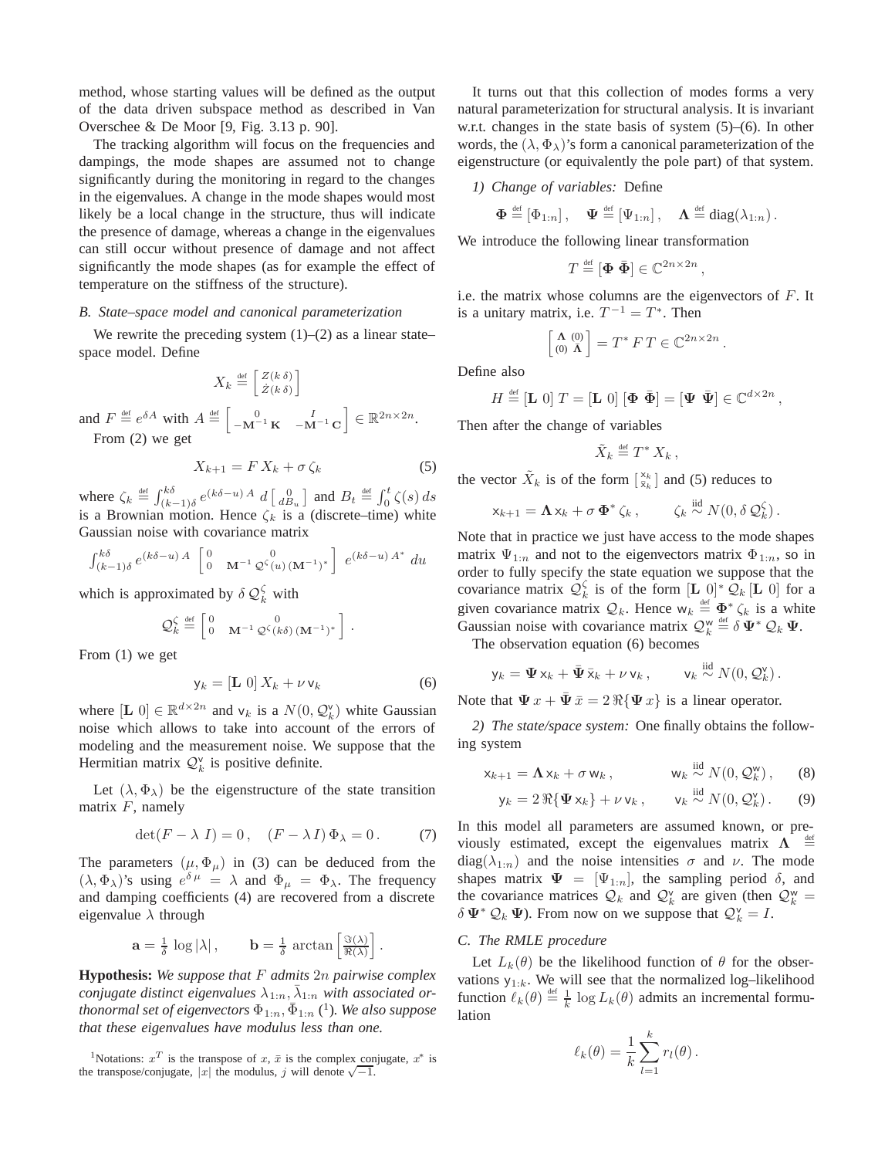method, whose starting values will be defined as the output of the data driven subspace method as described in Van Overschee & De Moor [9, Fig. 3.13 p. 90].

The tracking algorithm will focus on the frequencies and dampings, the mode shapes are assumed not to change significantly during the monitoring in regard to the changes in the eigenvalues. A change in the mode shapes would most likely be a local change in the structure, thus will indicate the presence of damage, whereas a change in the eigenvalues can still occur without presence of damage and not affect significantly the mode shapes (as for example the effect of temperature on the stiffness of the structure).

## *B. State–space model and canonical parameterization*

We rewrite the preceding system  $(1)$ – $(2)$  as a linear state– space model. Define

$$
X_k \stackrel{\text{def}}{=} \begin{bmatrix} Z(k \, \delta) \\ \dot{Z}(k \, \delta) \end{bmatrix}
$$

and  $F \stackrel{\text{def}}{=} e^{\delta A}$  with  $A \stackrel{\text{def}}{=} \begin{bmatrix} 0 & I \\ -\mathbf{M}^{-1} \mathbf{K} & -\mathbf{M}^{-1} \mathbf{C} \end{bmatrix} \in \mathbb{R}^{2n \times 2n}$ . From (2) we get

$$
X_{k+1} = F X_k + \sigma \zeta_k \tag{5}
$$

where  $\zeta_k \stackrel{\text{def}}{=} \int_{(k-1)\delta}^{k\delta} e^{(k\delta - u)A} d \left[ \frac{0}{d B_u} \right]$  and  $B_t \stackrel{\text{def}}{=} \int_0^t \zeta(s) ds$ is a Brownian motion. Hence  $\zeta_k$  is a (discrete–time) white Gaussian noise with covariance matrix

$$
\int_{(k-1)\delta}^{k\delta} e^{(k\delta - u) A} \begin{bmatrix} 0 & 0 \\ 0 & \mathbf{M}^{-1} \mathcal{Q}^{\zeta}(u) (\mathbf{M}^{-1})^* \end{bmatrix} e^{(k\delta - u) A^*} du
$$

which is approximated by  $\delta \mathcal{Q}_k^{\zeta}$  with

$$
\mathcal{Q}_k^{\zeta} \stackrel{\text{def}}{=} \begin{bmatrix} 0 & 0 \\ 0 & \mathbf{M}^{-1} \mathcal{Q}^{\zeta}(k\delta) (\mathbf{M}^{-1})^* \end{bmatrix}.
$$

From (1) we get

$$
y_k = [\mathbf{L} \ 0] \ X_k + \nu \, v_k \tag{6}
$$

where  $[\mathbf{L} \; 0] \in \mathbb{R}^{d \times 2n}$  and  $v_k$  is a  $N(0, \mathcal{Q}_k^{\vee})$  white Gaussian noise which allows to take into account of the errors of modeling and the measurement noise. We suppose that the Hermitian matrix  $\mathcal{Q}_k^{\vee}$  is positive definite.

Let  $(\lambda, \Phi_{\lambda})$  be the eigenstructure of the state transition matrix  $F$ , namely

$$
\det(F - \lambda I) = 0, \quad (F - \lambda I)\Phi_{\lambda} = 0. \tag{7}
$$

The parameters  $(\mu, \Phi_{\mu})$  in (3) can be deduced from the  $(\lambda, \Phi_{\lambda})$ 's using  $e^{\delta \mu} = \lambda$  and  $\Phi_{\mu} = \Phi_{\lambda}$ . The frequency and damping coefficients (4) are recovered from a discrete eigenvalue  $\lambda$  through

$$
\mathbf{a} = \frac{1}{\delta} \log |\lambda|, \qquad \mathbf{b} = \frac{1}{\delta} \arctan \left[ \frac{\Im(\lambda)}{\Re(\lambda)} \right].
$$

**Hypothesis:** *We suppose that* F *admits* 2n *pairwise complex conjugate distinct eigenvalues*  $\lambda_{1:n}, \lambda_{1:n}$  *with associated orthonormal set of eigenvectors*  $\Phi_{1:n}$ ,  $\bar{\Phi}_{1:n}$  (<sup>1</sup>). We also suppose *that these eigenvalues have modulus less than one.*

It turns out that this collection of modes forms a very natural parameterization for structural analysis. It is invariant w.r.t. changes in the state basis of system (5)–(6). In other words, the  $(\lambda, \Phi_{\lambda})$ 's form a canonical parameterization of the eigenstructure (or equivalently the pole part) of that system.

#### *1) Change of variables:* Define

$$
\boldsymbol{\Phi} \stackrel{\text{\tiny def}}{=} [\Phi_{1:n}], \quad \boldsymbol{\Psi} \stackrel{\text{\tiny def}}{=} [\Psi_{1:n}], \quad \boldsymbol{\Lambda} \stackrel{\text{\tiny def}}{=} \text{diag}(\lambda_{1:n}).
$$

We introduce the following linear transformation

$$
T \stackrel{\text{\tiny def}}{=} [\Phi \; \bar{\Phi}] \in \mathbb{C}^{2n \times 2n} \,,
$$

i.e. the matrix whose columns are the eigenvectors of F. It is a unitary matrix, i.e.  $T^{-1} = T^*$ . Then

$$
\begin{bmatrix} \mathbf{\Lambda} & (0) \\ (0) & \mathbf{\bar{\Lambda}} \end{bmatrix} = T^* \, F \, T \in \mathbb{C}^{2n \times 2n} \, .
$$

Define also

$$
H \stackrel{\text{def}}{=} [\mathbf{L} \ 0] \ T = [\mathbf{L} \ 0] \ [\mathbf{\Phi} \ \bar{\mathbf{\Phi}}] = [\mathbf{\Psi} \ \bar{\mathbf{\Psi}}] \in \mathbb{C}^{d \times 2n} \,,
$$

Then after the change of variables

$$
\tilde{X}_k \stackrel{\text{\tiny def}}{=} T^* X_k \,,
$$

the vector  $\tilde{X}_k$  is of the form  $\begin{bmatrix} x_k \\ \bar{x}_k \end{bmatrix}$  and (5) reduces to

$$
\mathsf{x}_{k+1} = \mathbf{\Lambda} \mathsf{x}_k + \sigma \, \mathbf{\Phi}^* \, \zeta_k \,, \qquad \zeta_k \stackrel{\text{iid}}{\sim} N(0, \delta \, \mathcal{Q}_k^{\zeta}) \,.
$$

Note that in practice we just have access to the mode shapes matrix  $\Psi_{1:n}$  and not to the eigenvectors matrix  $\Phi_{1:n}$ , so in order to fully specify the state equation we suppose that the covariance matrix  $\mathcal{Q}_k^{\zeta}$  is of the form  $[\mathbf{L} \; 0]^* \mathcal{Q}_k [\mathbf{L} \; 0]$  for a given covariance matrix  $\mathcal{Q}_k$ . Hence  $w_k \stackrel{\text{def}}{=} \Phi^* \zeta_k$  is a white Gaussian noise with covariance matrix  $\mathcal{Q}_k^{\mathsf{w}} \stackrel{\text{def}}{=} \delta \Psi^* \mathcal{Q}_k \Psi$ .

The observation equation (6) becomes

$$
y_k = \Psi x_k + \bar{\Psi} \bar{x}_k + \nu v_k, \qquad v_k \stackrel{\text{iid}}{\sim} N(0, \mathcal{Q}_k^{\nu}).
$$

Note that  $\Psi x + \bar{\Psi} \bar{x} = 2 \Re{\Psi x}$  is a linear operator.

*2) The state/space system:* One finally obtains the following system

$$
x_{k+1} = \Lambda x_k + \sigma w_k, \qquad w_k \stackrel{\text{iid}}{\sim} N(0, \mathcal{Q}_k^{\mathsf{w}}), \qquad (8)
$$

 $\cdots$ 

$$
\mathsf{y}_k = 2 \Re{\{\Psi \mathsf{x}_k\}} + \nu \mathsf{v}_k, \qquad \mathsf{v}_k \stackrel{\text{iid}}{\sim} N(0, \mathcal{Q}_k^{\mathsf{v}}). \tag{9}
$$

In this model all parameters are assumed known, or previously estimated, except the eigenvalues matrix  $\Lambda$   $\stackrel{\text{def}}{=}$ diag( $\lambda_{1:n}$ ) and the noise intensities  $\sigma$  and  $\nu$ . The mode shapes matrix  $\Psi = [\Psi_{1:n}]$ , the sampling period  $\delta$ , and the covariance matrices  $\mathcal{Q}_k$  and  $\mathcal{Q}_k^{\vee}$  are given (then  $\mathcal{Q}_k^{\vee}$  =  $\delta \Psi^* \mathcal{Q}_k \Psi$ ). From now on we suppose that  $\mathcal{Q}_k^{\vee} = I$ .

# *C. The RMLE procedure*

Let  $L_k(\theta)$  be the likelihood function of  $\theta$  for the observations  $y_{1:k}$ . We will see that the normalized log–likelihood function  $\ell_k(\theta) \stackrel{\text{def}}{=} \frac{1}{k} \log L_k(\theta)$  admits an incremental formulation

$$
\ell_k(\theta) = \frac{1}{k} \sum_{l=1}^k r_l(\theta).
$$

<sup>&</sup>lt;sup>1</sup>Notations:  $x^T$  is the transpose of  $x, \bar{x}$  is the complex conjugate,  $x^*$  is the transpose/conjugate, |x| the modulus, j will denote  $\sqrt{-1}$ .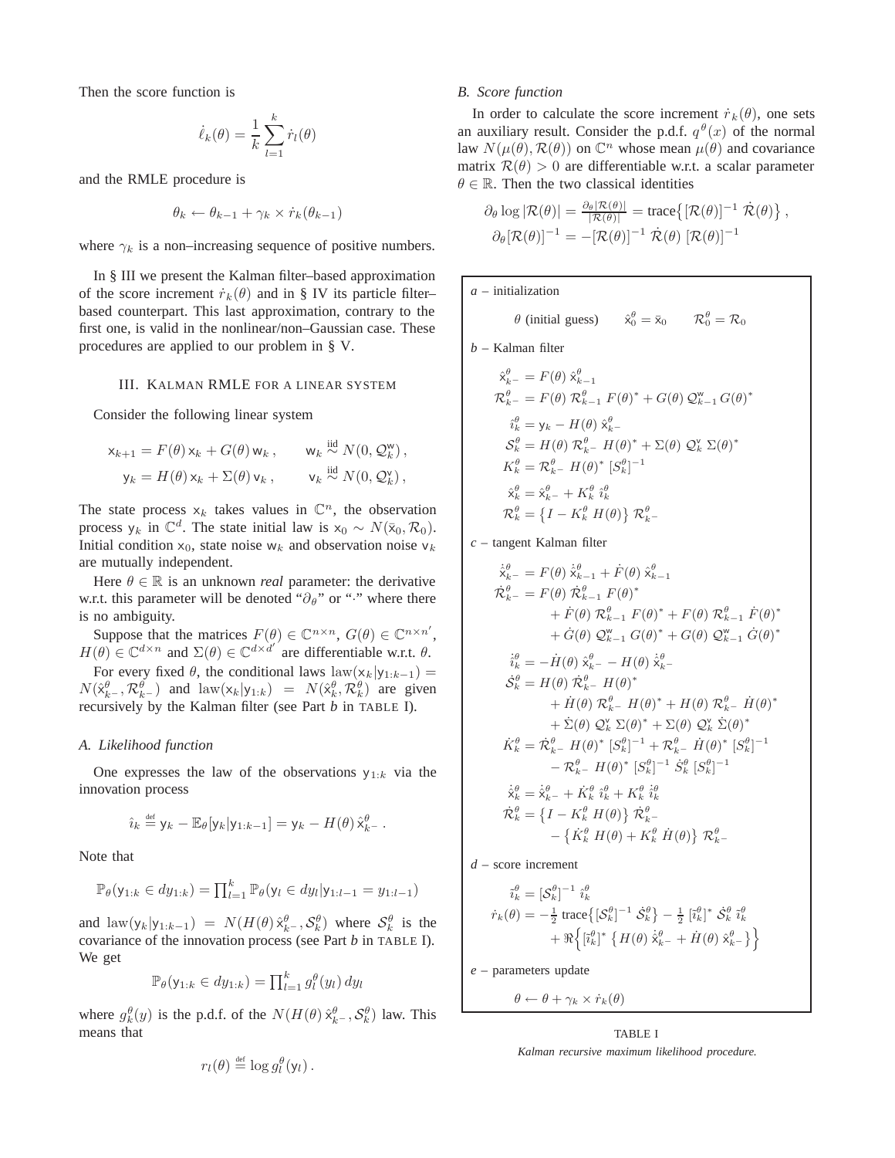Then the score function is

$$
\dot{\ell}_k(\theta) = \frac{1}{k} \sum_{l=1}^k \dot{r}_l(\theta)
$$

and the RMLE procedure is

$$
\theta_k \leftarrow \theta_{k-1} + \gamma_k \times \dot{r}_k(\theta_{k-1})
$$

where  $\gamma_k$  is a non–increasing sequence of positive numbers.

In § III we present the Kalman filter–based approximation of the score increment  $\dot{r}_k(\theta)$  and in § IV its particle filter– based counterpart. This last approximation, contrary to the first one, is valid in the nonlinear/non–Gaussian case. These procedures are applied to our problem in § V.

## III. KALMAN RMLE FOR A LINEAR SYSTEM

Consider the following linear system

$$
\mathsf{x}_{k+1} = F(\theta) \mathsf{x}_k + G(\theta) \mathsf{w}_k, \qquad \mathsf{w}_k \stackrel{\text{iid}}{\sim} N(0, \mathcal{Q}_k^{\mathsf{w}}),
$$

$$
\mathsf{y}_k = H(\theta) \mathsf{x}_k + \Sigma(\theta) \mathsf{v}_k, \qquad \mathsf{v}_k \stackrel{\text{iid}}{\sim} N(0, \mathcal{Q}_k^{\mathsf{v}}),
$$

The state process  $x_k$  takes values in  $\mathbb{C}^n$ , the observation process  $y_k$  in  $\mathbb{C}^d$ . The state initial law is  $x_0 \sim N(\bar{x}_0, \mathcal{R}_0)$ . Initial condition  $x_0$ , state noise w<sub>k</sub> and observation noise v<sub>k</sub> are mutually independent.

Here  $\theta \in \mathbb{R}$  is an unknown *real* parameter: the derivative w.r.t. this parameter will be denoted " $\partial_{\theta}$ " or "<sup>\*\*</sup>" where there is no ambiguity.

Suppose that the matrices  $F(\theta) \in \mathbb{C}^{n \times n}$ ,  $G(\theta) \in \mathbb{C}^{n \times n'}$ ,  $H(\theta) \in \mathbb{C}^{d \times n}$  and  $\Sigma(\theta) \in \mathbb{C}^{d \times d'}$  are differentiable w.r.t.  $\theta$ . For every fixed  $\theta$ , the conditional laws law(x<sub>k</sub>|y<sub>1:k−1</sub>) =  $N(\hat{x}_{k}^{\theta}, \mathcal{R}_{k}^{\theta})$  and  $\text{law}(x_k|y_{1:k}) = N(\hat{x}_{k}^{\theta}, \mathcal{R}_{k}^{\theta})$  are given recursively by the Kalman filter (see Part *b* in TABLE I).

## *A. Likelihood function*

One expresses the law of the observations  $y_{1:k}$  via the innovation process

$$
\hat{\imath}_k \stackrel{\text{def}}{=} \mathsf{y}_k - \mathbb{E}_{\theta}[\mathsf{y}_k | \mathsf{y}_{1:k-1}] = \mathsf{y}_k - H(\theta) \hat{\mathsf{x}}_{k-}^{\theta}.
$$

Note that

$$
\mathbb{P}_{\theta}(y_{1:k} \in dy_{1:k}) = \prod_{l=1}^{k} \mathbb{P}_{\theta}(y_l \in dy_l | y_{1:l-1} = y_{1:l-1})
$$

and  $\text{law}(y_k|y_{1:k-1}) = N(H(\theta)\hat{x}_{k}^{\theta}, \mathcal{S}_{k}^{\theta})$  where  $\mathcal{S}_{k}^{\theta}$  is the covariance of the innovation process (see Part *b* in TABLE I). We get

$$
\mathbb{P}_{\theta}(y_{1:k} \in dy_{1:k}) = \prod_{l=1}^k g_l^{\theta}(y_l) dy_l
$$

where  $g_k^{\theta}(y)$  is the p.d.f. of the  $N(H(\theta) \hat{x}_{k-}^{\theta}, S_k^{\theta})$  law. This means that

$$
r_l(\theta) \stackrel{\text{def}}{=} \log g_l^{\theta}(\mathsf{y}_l).
$$

#### *B. Score function*

In order to calculate the score increment  $\dot{r}_k(\theta)$ , one sets an auxiliary result. Consider the p.d.f.  $q^{\theta}(x)$  of the normal law  $N(\mu(\theta), \mathcal{R}(\theta))$  on  $\mathbb{C}^n$  whose mean  $\mu(\theta)$  and covariance matrix  $\mathcal{R}(\theta) > 0$  are differentiable w.r.t. a scalar parameter  $\theta \in \mathbb{R}$ . Then the two classical identities

$$
\partial_{\theta} \log |\mathcal{R}(\theta)| = \frac{\partial_{\theta} |\mathcal{R}(\theta)|}{|\mathcal{R}(\theta)|} = \text{trace}\big\{ [\mathcal{R}(\theta)]^{-1} \dot{\mathcal{R}}(\theta) \big\},
$$

$$
\partial_{\theta} [\mathcal{R}(\theta)]^{-1} = -[\mathcal{R}(\theta)]^{-1} \dot{\mathcal{R}}(\theta) [\mathcal{R}(\theta)]^{-1}
$$

*a* – initialization

$$
\theta
$$
 (initial guess)  $\hat{x}_0^{\theta} = \bar{x}_0$   $\mathcal{R}_0^{\theta} = \mathcal{R}_0$ 

*b* – Kalman filter

$$
\hat{\mathbf{x}}_{k-}^{\theta} = F(\theta) \hat{\mathbf{x}}_{k-1}^{\theta}
$$
\n
$$
\mathcal{R}_{k-}^{\theta} = F(\theta) \mathcal{R}_{k-1}^{\theta} F(\theta)^{*} + G(\theta) \mathcal{Q}_{k-1}^{\mathbf{w}} G(\theta)^{*}
$$
\n
$$
\hat{\mathbf{i}}_{k}^{\theta} = \mathbf{y}_{k} - H(\theta) \hat{\mathbf{x}}_{k-}^{\theta}
$$
\n
$$
\mathcal{S}_{k}^{\theta} = H(\theta) \mathcal{R}_{k-}^{\theta} H(\theta)^{*} + \Sigma(\theta) \mathcal{Q}_{k}^{\mathbf{v}} \Sigma(\theta)^{*}
$$
\n
$$
K_{k}^{\theta} = \mathcal{R}_{k-}^{\theta} H(\theta)^{*} [S_{k}^{\theta}]^{-1}
$$
\n
$$
\hat{\mathbf{x}}_{k}^{\theta} = \hat{\mathbf{x}}_{k-}^{\theta} + K_{k}^{\theta} \hat{\mathbf{i}}_{k}^{\theta}
$$
\n
$$
\mathcal{R}_{k}^{\theta} = \{I - K_{k}^{\theta} H(\theta)\} \mathcal{R}_{k-}^{\theta}
$$

*c* – tangent Kalman filter

$$
\dot{\hat{\mathbf{x}}}^{\theta}_{k-} = F(\theta) \dot{\hat{\mathbf{x}}}^{\theta}_{k-1} + \dot{F}(\theta) \hat{\mathbf{x}}^{\theta}_{k-1} \n\dot{\mathbf{r}}^{\theta}_{k-} = F(\theta) \hat{\mathbf{x}}^{\theta}_{k-1} F(\theta)^* \n+ \dot{F}(\theta) \mathcal{R}^{\theta}_{k-1} F(\theta)^* + F(\theta) \mathcal{R}^{\theta}_{k-1} \dot{F}(\theta)^* \n+ \dot{G}(\theta) \mathcal{Q}^{\mathbf{w}}_{k-1} G(\theta)^* + G(\theta) \mathcal{Q}^{\mathbf{w}}_{k-1} \dot{G}(\theta)^* \n\dot{\hat{\mathbf{t}}}^{\theta}_{k} = -\dot{H}(\theta) \hat{\mathbf{x}}^{\theta}_{k-} - H(\theta) \dot{\hat{\mathbf{x}}}^{\theta}_{k-} \n\dot{\hat{\mathbf{s}}}^{\theta}_{k} = H(\theta) \mathcal{R}^{\theta}_{k-} H(\theta)^* \n+ \dot{H}(\theta) \mathcal{R}^{\theta}_{k-} H(\theta)^* + H(\theta) \mathcal{R}^{\theta}_{k-} \dot{H}(\theta)^* \n+ \dot{\Sigma}(\theta) \mathcal{Q}^{\mathbf{w}}_{k} \Sigma(\theta)^* + \Sigma(\theta) \mathcal{Q}^{\mathbf{w}}_{k} \dot{\Sigma}(\theta)^* \n\dot{\mathbf{K}}^{\theta}_{k} = \dot{\mathbf{x}}^{\theta}_{k-} H(\theta)^* \left[ S^{\theta}_{k} \right]^{-1} + \mathcal{R}^{\theta}_{k-} \dot{H}(\theta)^* \left[ S^{\theta}_{k} \right]^{-1} \n- \mathcal{R}^{\theta}_{k-} H(\theta)^* \left[ S^{\theta}_{k} \right]^{-1} \dot{S}^{\theta}_{k} \left[ S^{\theta}_{k} \right]^{-1} \n\dot{\hat{\mathbf{x}}}^{\theta}_{k} = \dot{\hat{\mathbf{x}}}^{\theta}_{k-} + \dot{K}^{\theta}_{k} \hat{\mathbf{t}}^{\theta}_{k} + \mathcal{K}^{\theta}_{k} \dot{\hat{\mathbf{t}}}^{\theta}_{k} \n\dot{\mathbf{K}}^{\theta}_{k} = \left\{ I - K^{\theta}_{k} H(\theta) \right\} \mathcal{R
$$

*d* – score increment

$$
\tilde{i}_{k}^{\theta} = [\mathcal{S}_{k}^{\theta}]^{-1} \hat{i}_{k}^{\theta}
$$
\n
$$
\dot{r}_{k}(\theta) = -\frac{1}{2} \operatorname{trace} \{ [\mathcal{S}_{k}^{\theta}]^{-1} \hat{\mathcal{S}}_{k}^{\theta} \} - \frac{1}{2} [\tilde{i}_{k}^{\theta}]^{*} \hat{\mathcal{S}}_{k}^{\theta} \tilde{i}_{k}^{\theta}
$$
\n
$$
+ \Re \{ [\tilde{i}_{k}^{\theta}]^{*} \{ H(\theta) \hat{i}_{k}^{\theta} - H(\theta) \hat{i}_{k}^{\theta} \} \}
$$

*e* – parameters update

$$
\theta \leftarrow \theta + \gamma_k \times \dot{r}_k(\theta)
$$

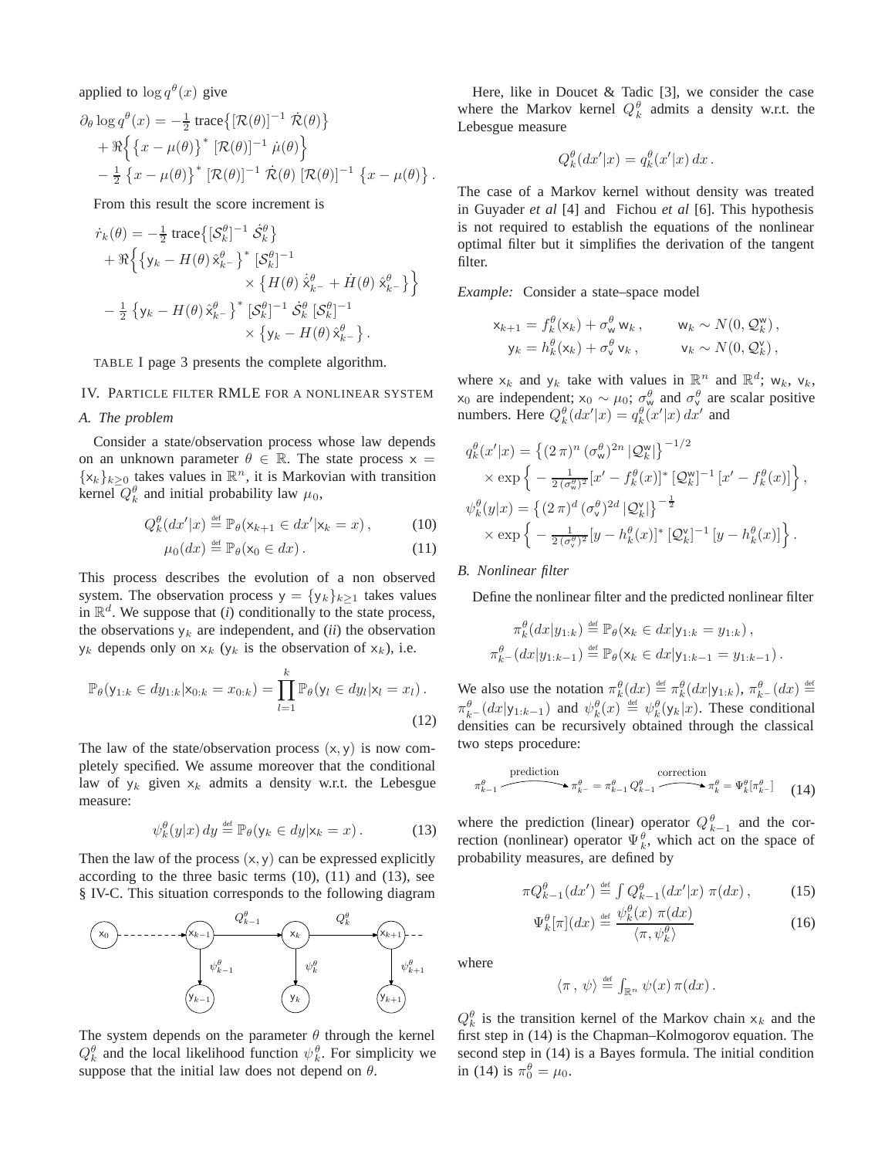applied to  $\log q^{\theta}(x)$  give

$$
\partial_{\theta} \log q^{\theta}(x) = -\frac{1}{2} \operatorname{trace}\{[\mathcal{R}(\theta)]^{-1} \dot{\mathcal{R}}(\theta)\} \n+ \Re \{ \{x - \mu(\theta)\}^* [\mathcal{R}(\theta)]^{-1} \dot{\mu}(\theta) \} \n- \frac{1}{2} \{x - \mu(\theta)\}^* [\mathcal{R}(\theta)]^{-1} \dot{\mathcal{R}}(\theta) [\mathcal{R}(\theta)]^{-1} \{x - \mu(\theta)\}.
$$

From this result the score increment is

$$
\dot{r}_k(\theta) = -\frac{1}{2} \operatorname{trace} \{ [\mathcal{S}_k^{\theta}]^{-1} \dot{\mathcal{S}}_k^{\theta} \}\n+ \Re \{ \{ y_k - H(\theta) \hat{x}_{k-}^{\theta} \}^* [\mathcal{S}_k^{\theta}]^{-1} \n\times \{ H(\theta) \dot{\hat{x}}_{k-}^{\theta} + \dot{H}(\theta) \hat{x}_{k-}^{\theta} \} \}\n- \frac{1}{2} \{ y_k - H(\theta) \hat{x}_{k-}^{\theta} \}^* [\mathcal{S}_k^{\theta}]^{-1} \times \{ y_k - H(\theta) \hat{x}_{k-}^{\theta} \} .
$$

TABLE I page 3 presents the complete algorithm.

## IV. PARTICLE FILTER RMLE FOR A NONLINEAR SYSTEM

# *A. The problem*

Consider a state/observation process whose law depends on an unknown parameter  $\theta \in \mathbb{R}$ . The state process  $x =$  ${x_k}_{k>0}$  takes values in  $\mathbb{R}^n$ , it is Markovian with transition kernel  $Q_k^{\theta}$  and initial probability law  $\mu_0$ ,

$$
Q_k^{\theta}(dx'|x) \stackrel{\text{def}}{=} \mathbb{P}_{\theta}(\mathsf{x}_{k+1} \in dx'|\mathsf{x}_k = x), \quad (10)
$$

$$
\mu_0(dx) \stackrel{\text{def}}{=} \mathbb{P}_{\theta}(\mathsf{x}_0 \in dx). \tag{11}
$$

This process describes the evolution of a non observed system. The observation process  $y = {y_k}_{k>1}$  takes values in  $\mathbb{R}^d$ . We suppose that *(i)* conditionally to the state process, the observations  $y_k$  are independent, and *(ii)* the observation  $y_k$  depends only on  $x_k$  ( $y_k$  is the observation of  $x_k$ ), i.e.

$$
\mathbb{P}_{\theta}(y_{1:k} \in dy_{1:k} | x_{0:k} = x_{0:k}) = \prod_{l=1}^{k} \mathbb{P}_{\theta}(y_l \in dy_l | x_l = x_l).
$$
\n(12)

The law of the state/observation process  $(x, y)$  is now completely specified. We assume moreover that the conditional law of  $y_k$  given  $x_k$  admits a density w.r.t. the Lebesgue measure:

$$
\psi_k^{\theta}(y|x) dy \stackrel{\text{def}}{=} \mathbb{P}_{\theta}(y_k \in dy | x_k = x).
$$
 (13)

Then the law of the process  $(x, y)$  can be expressed explicitly according to the three basic terms  $(10)$ ,  $(11)$  and  $(13)$ , see § IV-C. This situation corresponds to the following diagram



The system depends on the parameter  $\theta$  through the kernel  $Q_k^{\theta}$  and the local likelihood function  $\psi_k^{\theta}$ . For simplicity we suppose that the initial law does not depend on  $\theta$ .

Here, like in Doucet & Tadic [3], we consider the case where the Markov kernel  $Q_k^{\theta}$  admits a density w.r.t. the Lebesgue measure

$$
Q_k^{\theta}(dx'|x) = q_k^{\theta}(x'|x) dx.
$$

The case of a Markov kernel without density was treated in Guyader *et al* [4] and Fichou *et al* [6]. This hypothesis is not required to establish the equations of the nonlinear optimal filter but it simplifies the derivation of the tangent filter.

*Example:* Consider a state–space model

$$
\mathsf{x}_{k+1} = f_k^{\theta}(\mathsf{x}_k) + \sigma_w^{\theta} \mathsf{w}_k, \qquad \mathsf{w}_k \sim N(0, \mathcal{Q}_k^{\mathsf{w}}),
$$
  

$$
\mathsf{y}_k = h_k^{\theta}(\mathsf{x}_k) + \sigma_v^{\theta} \mathsf{v}_k, \qquad \mathsf{v}_k \sim N(0, \mathcal{Q}_k^{\mathsf{w}}),
$$

where  $x_k$  and  $y_k$  take with values in  $\mathbb{R}^n$  and  $\mathbb{R}^d$ ;  $w_k$ ,  $v_k$ ,  $x_0$  are independent;  $x_0 \sim \mu_0$ ;  $\sigma_w^{\theta}$  and  $\sigma_v^{\theta}$  are scalar positive numbers. Here  $Q_k^{\theta}(dx'|x) = q_k^{\theta}(x'|x) dx'$  and

$$
q_k^{\theta}(x'|x) = \left\{ (2\,\pi)^n \left(\sigma_w^{\theta}\right)^{2n} |\mathcal{Q}_k^{\mathsf{w}}| \right\}^{-1/2}
$$
  
 
$$
\times \exp\left\{ -\frac{1}{2\left(\sigma_w^{\theta}\right)^2} [x' - f_k^{\theta}(x)]^* [\mathcal{Q}_k^{\mathsf{w}}]^{-1} [x' - f_k^{\theta}(x)] \right\},
$$
  

$$
\psi_k^{\theta}(y|x) = \left\{ (2\,\pi)^d \left(\sigma_v^{\theta}\right)^{2d} |\mathcal{Q}_k^{\mathsf{v}}| \right\}^{-\frac{1}{2}}
$$
  

$$
\times \exp\left\{ -\frac{1}{2\left(\sigma_v^{\theta}\right)^2} [y - h_k^{\theta}(x)]^* [\mathcal{Q}_k^{\mathsf{v}}]^{-1} [y - h_k^{\theta}(x)] \right\}.
$$

# *B. Nonlinear filter*

Define the nonlinear filter and the predicted nonlinear filter

$$
\pi_k^{\theta}(dx|y_{1:k}) \stackrel{\text{def}}{=} \mathbb{P}_{\theta}(\mathsf{x}_k \in dx | \mathsf{y}_{1:k} = y_{1:k}),
$$
  

$$
\pi_{k}^{\theta}(dx|y_{1:k-1}) \stackrel{\text{def}}{=} \mathbb{P}_{\theta}(\mathsf{x}_k \in dx | \mathsf{y}_{1:k-1} = y_{1:k-1}).
$$

We also use the notation  $\pi_k^{\theta}(dx) \stackrel{\text{def}}{=} \pi_k^{\theta}(dx | y_{1:k}), \pi_{k-}^{\theta}(dx) \stackrel{\text{def}}{=}$  $\pi_{k-}^{\theta}(dx|y_{1:k-1})$  and  $\psi_k^{\theta}(x) \stackrel{\text{def}}{=} \psi_k^{\theta}(y_k|x)$ . These conditional densities can be recursively obtained through the classical two steps procedure:

$$
\pi_{k-1}^{\theta} \xrightarrow{\text{prediction}} \pi_{k-1}^{\theta} = \pi_{k-1}^{\theta} Q_{k-1}^{\theta} \xrightarrow{\text{correction}} \pi_k^{\theta} = \Psi_k^{\theta} [\pi_{k-1}^{\theta}] \tag{14}
$$

where the prediction (linear) operator  $Q_{k-1}^{\theta}$  and the correction (nonlinear) operator  $\Psi_k^{\theta}$ , which act on the space of probability measures, are defined by

$$
\pi Q_{k-1}^{\theta}(dx') \stackrel{\text{def}}{=} \int Q_{k-1}^{\theta}(dx'|x) \pi(dx) , \qquad (15)
$$

$$
\Psi_k^{\theta}[\pi](dx) \stackrel{\text{def}}{=} \frac{\psi_k^{\theta}(x) \ \pi(dx)}{\langle \pi, \psi_k^{\theta} \rangle} \tag{16}
$$

where

$$
\langle \pi \, , \, \psi \rangle \stackrel{\text{\tiny def}}{=} \int_{\mathbb{R}^n} \psi(x) \, \pi(dx) \, .
$$

 $Q_k^{\theta}$  is the transition kernel of the Markov chain  $x_k$  and the first step in (14) is the Chapman–Kolmogorov equation. The second step in (14) is a Bayes formula. The initial condition in (14) is  $\pi_0^{\theta} = \mu_0$ .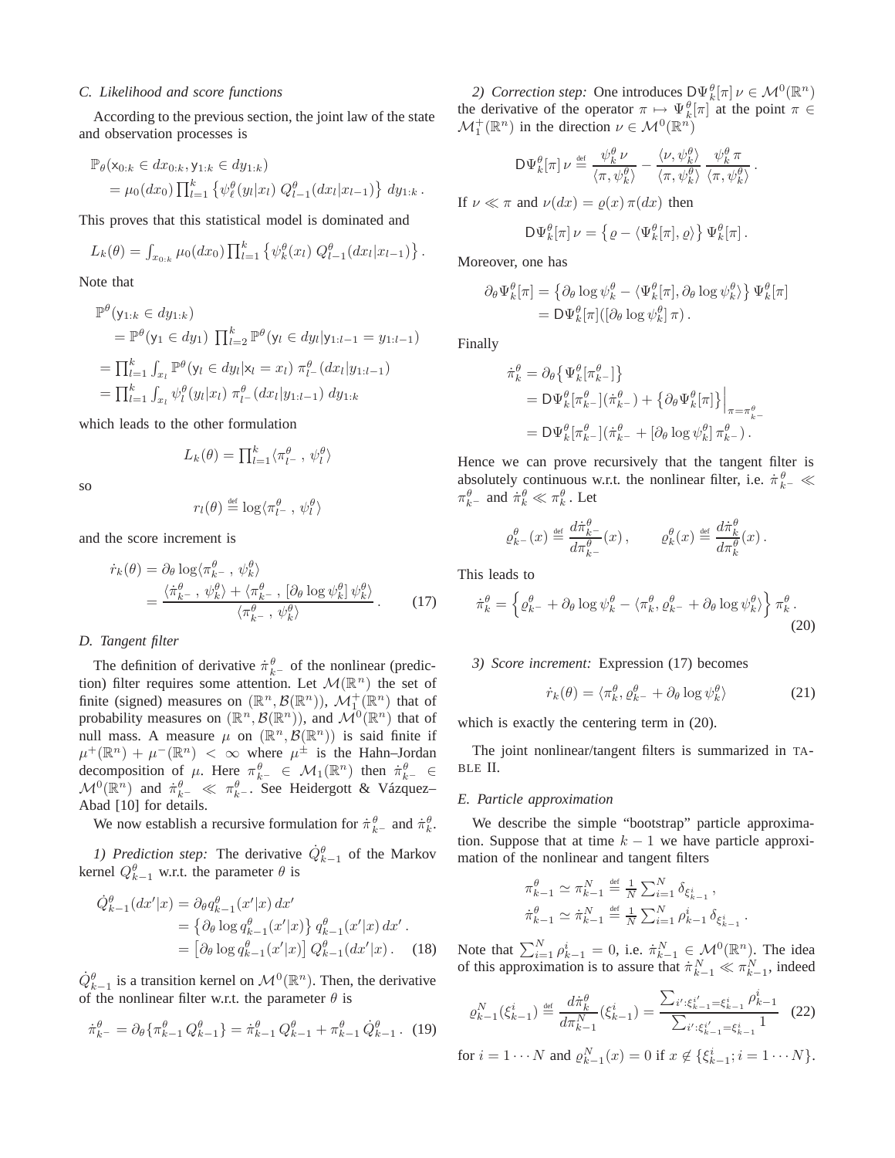#### *C. Likelihood and score functions*

According to the previous section, the joint law of the state and observation processes is

$$
\mathbb{P}_{\theta}(\mathsf{x}_{0:k} \in dx_{0:k}, \mathsf{y}_{1:k} \in dy_{1:k})
$$
  
=  $\mu_0(dx_0) \prod_{l=1}^k \left\{ \psi_{\ell}^{\theta}(y_l|x_l) Q_{l-1}^{\theta}(dx_l|x_{l-1}) \right\} dy_{1:k}.$ 

This proves that this statistical model is dominated and

$$
L_k(\theta) = \int_{x_{0:k}} \mu_0(dx_0) \prod_{l=1}^k \left\{ \psi_k^{\theta}(x_l) Q_{l-1}^{\theta}(dx_l | x_{l-1}) \right\}.
$$

Note that

$$
\mathbb{P}^{\theta}(y_{1:k} \in dy_{1:k})
$$
\n
$$
= \mathbb{P}^{\theta}(y_1 \in dy_1) \prod_{l=2}^{k} \mathbb{P}^{\theta}(y_l \in dy_l | y_{1:l-1} = y_{1:l-1})
$$
\n
$$
= \prod_{l=1}^{k} \int_{x_l} \mathbb{P}^{\theta}(y_l \in dy_l | x_l = x_l) \pi_{l-}^{\theta}(dx_l | y_{1:l-1})
$$
\n
$$
= \prod_{l=1}^{k} \int_{x_l} \psi_l^{\theta}(y_l | x_l) \pi_{l-}^{\theta}(dx_l | y_{1:l-1}) dy_{1:k}
$$

which leads to the other formulation

$$
L_k(\theta) = \prod_{l=1}^k \langle \pi_{l^-}^{\theta}, \psi_l^{\theta} \rangle
$$

so

$$
r_l(\theta) \stackrel{\text{\tiny def}}{=} \log \langle \pi^{\theta}_{l^-} , \psi^{\theta}_{l} \rangle
$$

and the score increment is

$$
\dot{r}_k(\theta) = \partial_\theta \log \langle \pi_{k^-}^\theta, \psi_k^\theta \rangle \n= \frac{\langle \dot{\pi}_{k^-}^\theta, \psi_k^\theta \rangle + \langle \pi_{k^-}^\theta, [\partial_\theta \log \psi_k^\theta] \psi_k^\theta \rangle}{\langle \pi_{k^-}^\theta, \psi_k^\theta \rangle}.
$$
\n(17)

# *D. Tangent filter*

The definition of derivative  $\dot{\pi}_{k-}^{\theta}$  of the nonlinear (prediction) filter requires some attention. Let  $\mathcal{M}(\mathbb{R}^n)$  the set of finite (signed) measures on  $(\mathbb{R}^n, \mathcal{B}(\mathbb{R}^n))$ ,  $\mathcal{M}_1^+(\mathbb{R}^n)$  that of probability measures on  $(\mathbb{R}^n, \mathcal{B}(\mathbb{R}^n))$ , and  $\mathcal{M}^0(\mathbb{R}^n)$  that of null mass. A measure  $\mu$  on  $(\mathbb{R}^n, \mathcal{B}(\mathbb{R}^n))$  is said finite if  $\mu^+(\mathbb{R}^n) + \mu^-(\mathbb{R}^n) < \infty$  where  $\mu^{\pm}$  is the Hahn–Jordan decomposition of  $\mu$ . Here  $\pi_{k-}^{\theta} \in \mathcal{M}_1(\mathbb{R}^n)$  then  $\pi_{k-}^{\theta} \in$  $\mathcal{M}^{0}(\mathbb{R}^{n})$  and  $\pi^{\theta}_{k-} \ll \pi^{\theta}_{k-}$ . See Heidergott & Vázquez-Abad [10] for details.

We now establish a recursive formulation for  $\pi_{k}^{\theta}$  and  $\pi_{k}^{\theta}$ .

*1) Prediction step:* The derivative  $\dot{Q}_{k-1}^{\theta}$  of the Markov kernel  $Q_{k-1}^{\theta}$  w.r.t. the parameter  $\theta$  is

$$
\dot{Q}_{k-1}^{\theta}(dx'|x) = \partial_{\theta}q_{k-1}^{\theta}(x'|x) dx'\n= \{\partial_{\theta} \log q_{k-1}^{\theta}(x'|x)\} q_{k-1}^{\theta}(x'|x) dx'.\n= \left[\partial_{\theta} \log q_{k-1}^{\theta}(x'|x)\right] Q_{k-1}^{\theta}(dx'|x). \quad (18)
$$

 $\dot{Q}_{k-1}^{\theta}$  is a transition kernel on  $\mathcal{M}^0(\mathbb{R}^n)$ . Then, the derivative of the nonlinear filter w.r.t. the parameter  $\theta$  is

$$
\dot{\pi}_{k^{-}}^{\theta} = \partial_{\theta} \{ \pi_{k-1}^{\theta} Q_{k-1}^{\theta} \} = \dot{\pi}_{k-1}^{\theta} Q_{k-1}^{\theta} + \pi_{k-1}^{\theta} \dot{Q}_{k-1}^{\theta}.
$$
 (19)

2) Correction step: One introduces  $D\Psi_k^{\theta}[\pi] \nu \in \mathcal{M}^0(\mathbb{R}^n)$ the derivative of the operator  $\pi \mapsto \Psi_k^{\theta}[\pi]$  at the point  $\pi \in$  $\mathcal{M}_1^+(\mathbb{R}^n)$  in the direction  $\nu \in \mathcal{M}^0(\mathbb{R}^n)$ 

$$
\mathsf{D}\Psi_{k}^{\theta}[\pi]\,\nu \triangleq \frac{\psi_{k}^{\theta}\,\nu}{\langle \pi, \psi_{k}^{\theta} \rangle} - \frac{\langle \nu, \psi_{k}^{\theta} \rangle}{\langle \pi, \psi_{k}^{\theta} \rangle} \, \frac{\psi_{k}^{\theta}\,\pi}{\langle \pi, \psi_{k}^{\theta} \rangle}.
$$
\nIf  $\nu \ll \pi$  and  $\nu(dx) = \varrho(x)\,\pi(dx)$  then

$$
\mathsf{D}\Psi^{\theta}_k[\pi]\,\nu = \left\{\varrho - \langle \Psi^{\theta}_k[\pi], \varrho \rangle\right\}\Psi^{\theta}_k[\pi].
$$

Moreover, one has

$$
\partial_{\theta} \Psi_{k}^{\theta}[\pi] = \left\{ \partial_{\theta} \log \psi_{k}^{\theta} - \langle \Psi_{k}^{\theta}[\pi], \partial_{\theta} \log \psi_{k}^{\theta} \rangle \right\} \Psi_{k}^{\theta}[\pi] = D \Psi_{k}^{\theta}[\pi] \left( [\partial_{\theta} \log \psi_{k}^{\theta}] \pi \right).
$$

Finally

$$
\dot{\pi}_k^{\theta} = \partial_{\theta} \{ \Psi_k^{\theta} [\pi_{k-}^{\theta}] \}
$$
  
=  $D \Psi_k^{\theta} [\pi_{k-}^{\theta}] (\dot{\pi}_{k-}^{\theta}) + \{ \partial_{\theta} \Psi_k^{\theta} [\pi] \} \Big|_{\pi = \pi_{k-}^{\theta}}$   
=  $D \Psi_k^{\theta} [\pi_{k-}^{\theta}] (\dot{\pi}_{k-}^{\theta} + [\partial_{\theta} \log \psi_k^{\theta}] \pi_{k-}^{\theta})$ .

Hence we can prove recursively that the tangent filter is absolutely continuous w.r.t. the nonlinear filter, i.e.  $\dot{\pi}_{k-}^{\theta} \ll$  $\pi_{k-}^{\theta}$  and  $\dot{\pi}_k^{\theta} \ll \pi_k^{\theta}$ . Let

$$
\varrho_{k^-}^\theta(x) \stackrel{\mbox{\tiny def}}{=} \frac{d\dot\pi_{k^-}^\theta}{d\pi_{k^-}^\theta}(x)\,,\qquad \varrho_k^\theta(x) \stackrel{\mbox{\tiny def}}{=} \frac{d\dot\pi_{k}^\theta}{d\pi_{k}^\theta}(x)\,.
$$

This leads to

$$
\dot{\pi}_k^{\theta} = \left\{ \varrho_{k^-}^{\theta} + \partial_{\theta} \log \psi_k^{\theta} - \langle \pi_k^{\theta}, \varrho_{k^-}^{\theta} + \partial_{\theta} \log \psi_k^{\theta} \rangle \right\} \pi_k^{\theta}.
$$
\n(20)

### *3) Score increment:* Expression (17) becomes

$$
\dot{r}_k(\theta) = \langle \pi_k^{\theta}, \varrho_{k^-}^{\theta} + \partial_{\theta} \log \psi_k^{\theta} \rangle \tag{21}
$$

which is exactly the centering term in  $(20)$ .

The joint nonlinear/tangent filters is summarized in TA-BLE II.

#### *E. Particle approximation*

We describe the simple "bootstrap" particle approximation. Suppose that at time  $k - 1$  we have particle approximation of the nonlinear and tangent filters

$$
\begin{array}{l} \pi^{\theta}_{k-1} \simeq \pi^N_{k-1} \stackrel{\mbox{\tiny def}}{=} \frac{1}{N} \sum_{i=1}^N \delta_{\xi^i_{k-1}} \,, \\ \dot{\pi}^{\theta}_{k-1} \simeq \dot{\pi}^N_{k-1} \stackrel{\mbox{\tiny def}}{=} \frac{1}{N} \sum_{i=1}^N \rho^i_{k-1} \delta_{\xi^i_{k-1}} \,. \end{array}
$$

Note that  $\sum_{i=1}^{N} \rho_{k-1}^{i} = 0$ , i.e.  $\pi_{k-1}^{N} \in \mathcal{M}^{0}(\mathbb{R}^{n})$ . The idea of this approximation is to assure that  $\pi_{k-1}^{N} \ll \pi_{k-1}^{N}$ , indeed

$$
\varrho_{k-1}^{N}(\xi_{k-1}^{i}) \stackrel{\text{def}}{=} \frac{d\dot{\pi}_{k}^{\theta}}{d\pi_{k-1}^{N}}(\xi_{k-1}^{i}) = \frac{\sum_{i':\xi_{k-1}^{i'}=\xi_{k-1}^{i}}\rho_{k-1}^{i}}{\sum_{i':\xi_{k-1}^{i'}=\xi_{k-1}^{i}}1} (22)
$$

for  $i = 1 \cdots N$  and  $\varrho_{k-1}^N(x) = 0$  if  $x \notin \{\xi_{k-1}^i; i = 1 \cdots N\}.$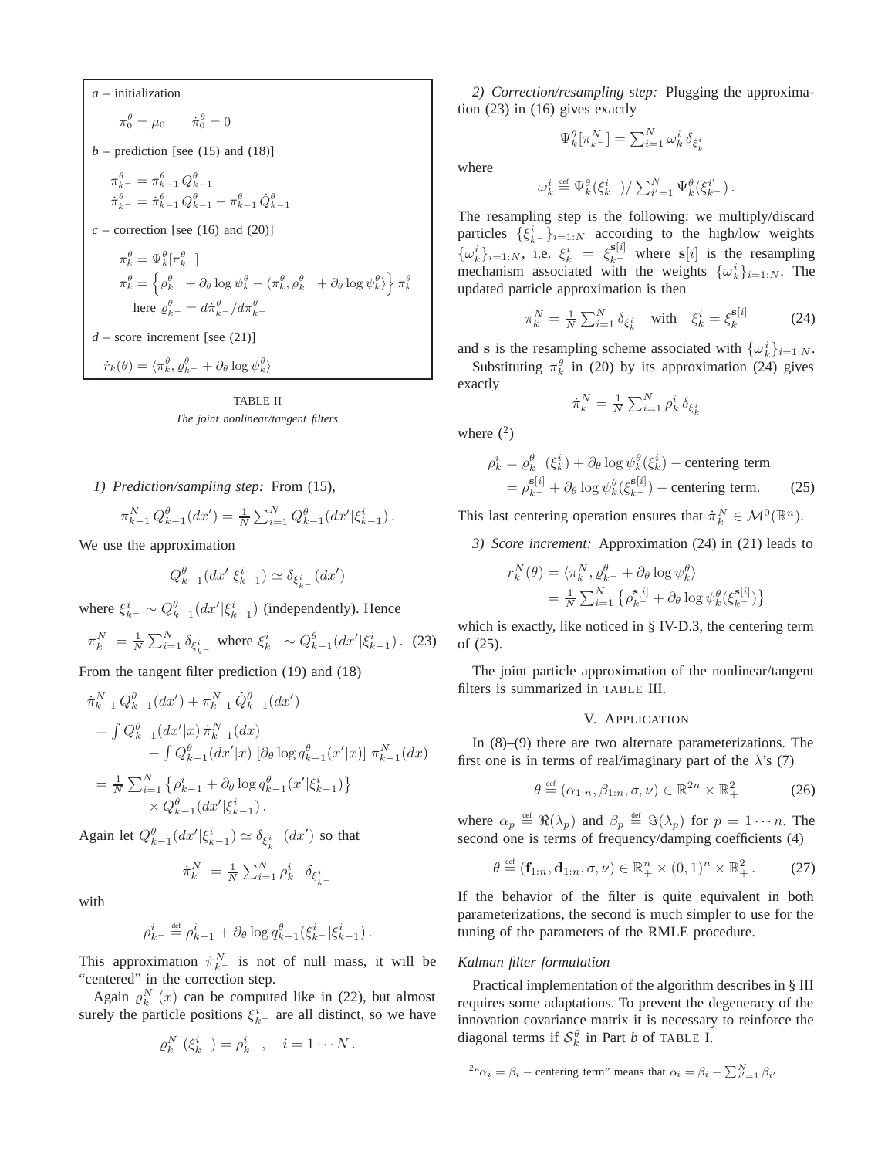*a* – initialization  $\pi_0^{\theta} = \mu_0$   $\dot{\pi}_0^{\theta} = 0$  $b$  – prediction [see (15) and (18)]  $\pi_{k-}^{\theta} = \pi_{k-1}^{\theta} Q_{k-1}^{\theta}$  $\dot{\pi}_{k-}^{\theta} = \dot{\pi}_{k-1}^{\theta} Q_{k-1}^{\theta} + \pi_{k-1}^{\theta} \dot{Q}_{k-1}^{\theta}$  $c$  – correction [see (16) and (20)]  $\pi_k^{\theta} = \Psi_k^{\theta} [\pi_{k-}^{\theta}]$  $\dot{\pi}_k^{\theta} = \left\{\varrho_{k-}^{\theta} + \partial_{\theta}\log\psi_k^{\theta} - \langle\pi_k^{\theta},\varrho_{k-}^{\theta} + \partial_{\theta}\log\psi_k^{\theta}\rangle\right\}\pi_k^{\theta}$ here  $\varrho_{k-}^{\theta} = d\dot{\pi}_{k-}^{\theta}/d\pi_{k-}^{\theta}$  $d$  – score increment [see (21)]  $\dot{r}_k(\theta) = \langle \pi_k^{\theta}, \varrho_{k-}^{\theta} + \partial_{\theta} \log \psi_k^{\theta} \rangle$ 

TABLE II *The joint nonlinear/tangent filters.*

*1) Prediction/sampling step:* From (15),

$$
\pi_{k-1}^{N} Q_{k-1}^{\theta}(dx') = \frac{1}{N} \sum_{i=1}^{N} Q_{k-1}^{\theta}(dx' | \xi_{k-1}^{i}).
$$

We use the approximation

$$
Q_{k-1}^{\theta}(dx'|\xi_{k-1}^i) \simeq \delta_{\xi_{k-}^i}(dx')
$$

where  $\xi_{k-}^{i} \sim Q_{k-1}^{\theta} (dx' | \xi_{k-1}^{i})$  (independently). Hence

$$
\pi_{k^-}^N = \frac{1}{N} \sum_{i=1}^N \delta_{\xi_{k^-}^i} \text{ where } \xi_{k^-}^i \sim Q_{k-1}^\theta (dx' | \xi_{k-1}^i). \tag{23}
$$

From the tangent filter prediction (19) and (18)

$$
\dot{\pi}_{k-1}^N Q_{k-1}^\theta (dx') + \pi_{k-1}^N \dot{Q}_{k-1}^\theta (dx')
$$
\n
$$
= \int Q_{k-1}^\theta (dx'|x) \, \dot{\pi}_{k-1}^N (dx) + \int Q_{k-1}^\theta (dx'|x) \, [\partial_\theta \log q_{k-1}^\theta (x'|x)] \, \pi_{k-1}^N (dx)
$$
\n
$$
= \frac{1}{N} \sum_{i=1}^N \left\{ \rho_{k-1}^i + \partial_\theta \log q_{k-1}^\theta (x'|\xi_{k-1}^i) \right\} + Q_{k-1}^\theta (dx'|\xi_{k-1}^i).
$$

Again let  $Q_{k-1}^{\theta}(dx'|\xi_{k-1}^i) \simeq \delta_{\xi_{k-}^i}(dx')$  so that

$$
\dot{\pi}^N_{k^-} = \frac{1}{N}\sum_{i=1}^N \rho^i_{k^-}\, \delta_{\xi^i_{k^-}}
$$

with

$$
\rho_{k-}^i \stackrel{\text{def}}{=} \rho_{k-1}^i + \partial_\theta \log q_{k-1}^\theta(\xi_{k-}^i | \xi_{k-1}^i).
$$

This approximation  $\dot{\pi}_{k-}^N$  is not of null mass, it will be "centered" in the correction step.

Again  $\rho_{k-}^N(x)$  can be computed like in (22), but almost surely the particle positions  $\xi_{k-}$  are all distinct, so we have

$$
\varrho_{k}^N(\xi_{k}^i) = \rho_{k}^i, \quad i = 1 \cdots N.
$$

*2) Correction/resampling step:* Plugging the approximation (23) in (16) gives exactly

$$
\Psi_k^{\theta}[\pi^N_{k^-}] = \sum_{i=1}^N \omega_k^i\, \delta_{\xi_{k^-}^i}
$$

where

$$
\omega_k^i \stackrel{\text{\tiny def}}{=} \Psi_k^{\theta}(\xi_{k^-}^i)/\sum_{i'=1}^N \Psi_k^{\theta}(\xi_{k^-}^{i'})\,.
$$

The resampling step is the following: we multiply/discard particles  $\{\xi_{k-}^i\}_{i=1:N}$  according to the high/low weights  $\{\omega_k^i\}_{i=1:N}$ , i.e.  $\xi_k^i = \xi_{k-}^{s[i]}$  where  $s[i]$  is the resampling mechanism associated with the weights  $\{\omega_k^i\}_{i=1:N}$ . The updated particle approximation is then

$$
\pi_k^N = \frac{1}{N} \sum_{i=1}^N \delta_{\xi_k^i} \quad \text{with} \quad \xi_k^i = \xi_{k^-}^{\mathbf{s}[i]} \tag{24}
$$

and **s** is the resampling scheme associated with  $\{\omega_k^i\}_{i=1:N}$ .

Substituting  $\pi_k^{\theta}$  in (20) by its approximation (24) gives exactly

$$
\dot{\pi}^N_k = \frac{1}{N}\sum_{i=1}^N \rho^i_k\, \delta_{\xi^i_k}
$$

where  $(^2)$ 

$$
\rho_k^i = \rho_{k}^\theta - (\xi_k^i) + \partial_\theta \log \psi_k^\theta(\xi_k^i) - \text{centering term}
$$
  
= 
$$
\rho_{k}^{\mathbf{s}[i]} + \partial_\theta \log \psi_k^\theta(\xi_{k}^{\mathbf{s}[i]}) - \text{centering term.}
$$
 (25)

This last centering operation ensures that  $\dot{\pi}_k^N \in \mathcal{M}^0(\mathbb{R}^n)$ .

*3) Score increment:* Approximation (24) in (21) leads to

$$
\begin{split} r^N_k(\theta) &= \langle \pi^N_k, \varrho^{\theta}_{k^-} + \partial_\theta \log \psi^\theta_k \rangle \\ &= \tfrac{1}{N} \sum_{i=1}^N \left\{ \rho^{\mathbf{s}[i]}_{k^-} + \partial_\theta \log \psi^\theta_k(\xi^{\mathbf{s}[i]}_{k^-}) \right\} \end{split}
$$

which is exactly, like noticed in § IV-D.3, the centering term of (25).

The joint particle approximation of the nonlinear/tangent filters is summarized in TABLE III.

# V. APPLICATION

In (8)–(9) there are two alternate parameterizations. The first one is in terms of real/imaginary part of the  $\lambda$ 's (7)

$$
\theta \stackrel{\text{def}}{=} (\alpha_{1:n}, \beta_{1:n}, \sigma, \nu) \in \mathbb{R}^{2n} \times \mathbb{R}^2_+ \tag{26}
$$

where  $\alpha_p \stackrel{\text{def}}{=} \Re(\lambda_p)$  and  $\beta_p \stackrel{\text{def}}{=} \Im(\lambda_p)$  for  $p = 1 \cdots n$ . The second one is terms of frequency/damping coefficients (4)

$$
\theta \stackrel{\text{def}}{=} (\mathbf{f}_{1:n}, \mathbf{d}_{1:n}, \sigma, \nu) \in \mathbb{R}_+^n \times (0, 1)^n \times \mathbb{R}_+^2. \tag{27}
$$

If the behavior of the filter is quite equivalent in both parameterizations, the second is much simpler to use for the tuning of the parameters of the RMLE procedure.

## *Kalman filter formulation*

Practical implementation of the algorithm describes in § III requires some adaptations. To prevent the degeneracy of the innovation covariance matrix it is necessary to reinforce the diagonal terms if  $S_k^{\theta}$  in Part *b* of TABLE I.

<sup>2</sup>
$$
^{\alpha}
$$
 $\alpha_i = \beta_i$  – centering term' means that  $\alpha_i = \beta_i - \sum_{i'=1}^{N} \beta_{i'}$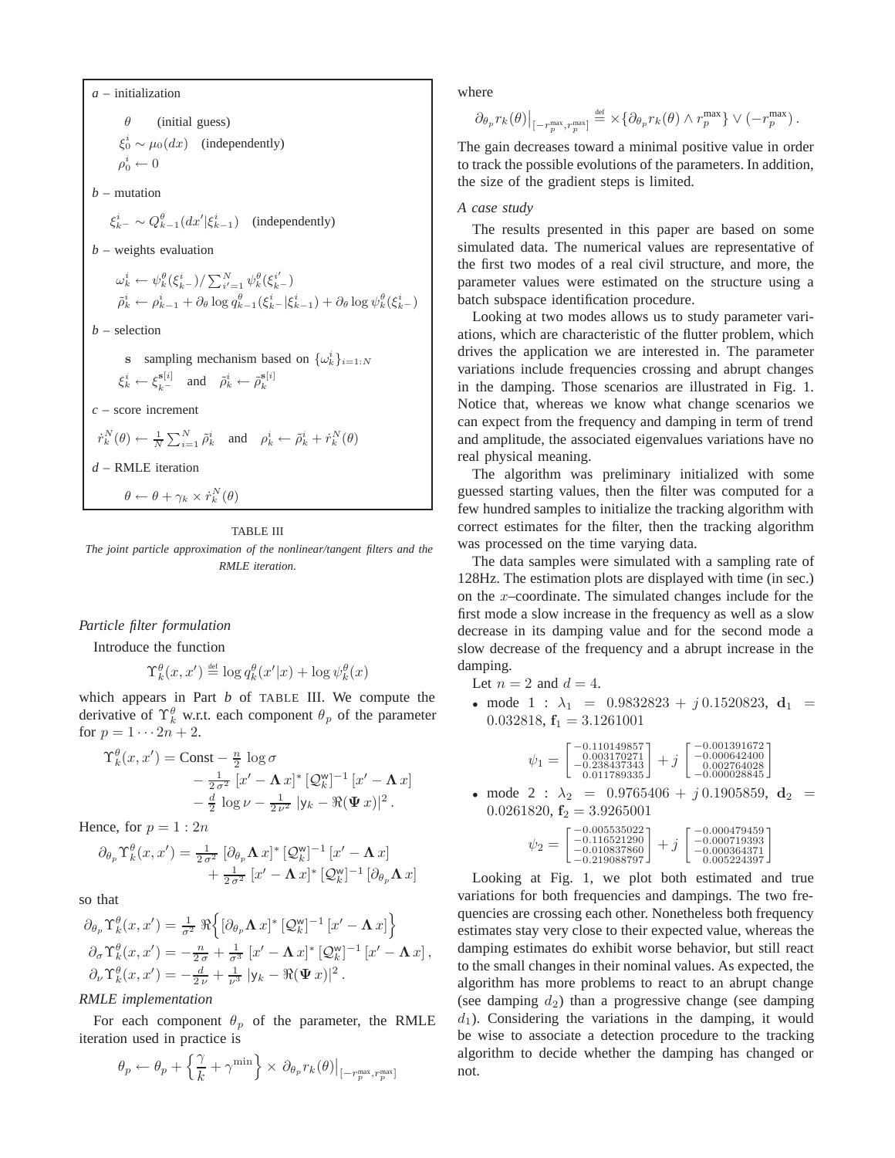*a* – initialization  $\theta$  (initial guess)  $\xi_0^i \sim \mu_0(dx)$  (independently)  $\rho_0^i \leftarrow 0$ *b* – mutation  $\xi_{k-}^{i} \sim Q_{k-1}^{\theta}(dx'|\xi_{k-1}^{i})$  (independently) *b* – weights evaluation  $\tilde{\rho}_k^i \leftarrow \psi_k^{\theta}(\xi_k^i-) / \sum_{i'=1}^N \psi_k^{\theta}(\xi_k^{i'}-)$ <br>  $\tilde{\rho}_k^i \leftarrow \rho_{k-1}^i + \partial_{\theta} \log q_{k-1}^{\theta}(\xi_k^i - |\xi_{k-1}^i|) + \partial_{\theta} \log \psi_k^{\theta}(\xi_k^i-)$ *b* – selection **s** sampling mechanism based on  $\{\omega_k^i\}_{i=1:N}$  $\xi_k^i \leftarrow \xi_{k-}^{s[i]}$  and  $\tilde{\rho}_k^i \leftarrow \tilde{\rho}_k^{s[i]}$ *c* – score increment  $\dot{r}_k^N(\theta) \leftarrow \frac{1}{N} \sum_{i=1}^N \tilde{\rho}_k^i$  and  $\rho_k^i \leftarrow \tilde{\rho}_k^i + \dot{r}_k^N(\theta)$ *d* – RMLE iteration  $\theta \leftarrow \theta + \gamma_k \times \dot{r}_k^N(\theta)$ 

TABLE III

*The joint particle approximation of the nonlinear/tangent filters and the RMLE iteration.*

## *Particle filter formulation*

Introduce the function

$$
\Upsilon_k^{\theta}(x, x') \stackrel{\text{def}}{=} \log q_k^{\theta}(x'|x) + \log \psi_k^{\theta}(x)
$$

which appears in Part *b* of TABLE III. We compute the derivative of  $\Upsilon_k^{\theta}$  w.r.t. each component  $\theta_p$  of the parameter for  $p = 1 \cdots 2n + 2$ .

$$
\begin{split} \Upsilon_k^{\theta}(x,x') &= \text{Const} - \frac{n}{2} \log \sigma \\ &- \frac{1}{2\sigma^2} \left[ x' - \mathbf{\Lambda} x \right]^* \left[ \mathcal{Q}_k^{\mathsf{w}} \right]^{-1} \left[ x' - \mathbf{\Lambda} x \right] \\ &- \frac{d}{2} \log \nu - \frac{1}{2\nu^2} \left| \mathsf{y}_k - \Re(\mathbf{\Psi} x) \right|^2. \end{split}
$$

Hence, for  $p = 1:2n$ 

$$
\partial_{\theta_p} \Upsilon_k^{\theta}(x, x') = \frac{1}{2\sigma^2} \left[ \partial_{\theta_p} \mathbf{\Lambda} \, x \right]^* \left[ \mathcal{Q}_k^{\mathsf{w}} \right]^{-1} \left[ x' - \mathbf{\Lambda} \, x \right] + \frac{1}{2\sigma^2} \left[ x' - \mathbf{\Lambda} \, x \right]^* \left[ \mathcal{Q}_k^{\mathsf{w}} \right]^{-1} \left[ \partial_{\theta_p} \mathbf{\Lambda} \, x \right]
$$

so that

$$
\partial_{\theta_p} \Upsilon_k^{\theta}(x, x') = \frac{1}{\sigma^2} \Re \Big\{ [\partial_{\theta_p} \mathbf{\Lambda} x]^* \left[ \mathcal{Q}_k^{\mathsf{w}} \right]^{-1} \left[ x' - \mathbf{\Lambda} x \right] \Big\}
$$
  
\n
$$
\partial_{\sigma} \Upsilon_k^{\theta}(x, x') = -\frac{n}{2\sigma} + \frac{1}{\sigma^3} \left[ x' - \mathbf{\Lambda} x \right]^* \left[ \mathcal{Q}_k^{\mathsf{w}} \right]^{-1} \left[ x' - \mathbf{\Lambda} x \right],
$$
  
\n
$$
\partial_{\nu} \Upsilon_k^{\theta}(x, x') = -\frac{d}{2\nu} + \frac{1}{\nu^3} \left[ y_k - \Re(\mathbf{\Psi} x) \right]^2.
$$

## *RMLE implementation*

For each component  $\theta_p$  of the parameter, the RMLE iteration used in practice is

$$
\theta_p \leftarrow \theta_p + \Big\{\frac{\gamma}{k} + \gamma^{\min}\Big\} \times \left.\partial_{\theta_p} r_k(\theta)\right|_{\left[-r^{\max}_p, r^{\max}_p\right]}
$$

where

$$
\partial_{\theta_p} r_k(\theta)\big|_{[-r_p^{\max},r_p^{\max}]} \stackrel{\text{\tiny{def}}}{=} \times \{\partial_{\theta_p} r_k(\theta) \wedge r_p^{\max}\} \vee (-r_p^{\max}) \,.
$$

The gain decreases toward a minimal positive value in order to track the possible evolutions of the parameters. In addition, the size of the gradient steps is limited.

## *A case study*

The results presented in this paper are based on some simulated data. The numerical values are representative of the first two modes of a real civil structure, and more, the parameter values were estimated on the structure using a batch subspace identification procedure.

Looking at two modes allows us to study parameter variations, which are characteristic of the flutter problem, which drives the application we are interested in. The parameter variations include frequencies crossing and abrupt changes in the damping. Those scenarios are illustrated in Fig. 1. Notice that, whereas we know what change scenarios we can expect from the frequency and damping in term of trend and amplitude, the associated eigenvalues variations have no real physical meaning.

The algorithm was preliminary initialized with some guessed starting values, then the filter was computed for a few hundred samples to initialize the tracking algorithm with correct estimates for the filter, then the tracking algorithm was processed on the time varying data.

The data samples were simulated with a sampling rate of 128Hz. The estimation plots are displayed with time (in sec.) on the x–coordinate. The simulated changes include for the first mode a slow increase in the frequency as well as a slow decrease in its damping value and for the second mode a slow decrease of the frequency and a abrupt increase in the damping.

Let  $n = 2$  and  $d = 4$ .

• mode  $1 : \lambda_1 = 0.9832823 + j 0.1520823$ ,  $d_1 =$ 0.032818,  $f_1 = 3.1261001$ 

$$
\psi_1 = \left[\begin{smallmatrix} -0.110149857 \\ 0.003170271 \\ -0.238437343 \\ 0.011789335 \end{smallmatrix}\right] + j \left[\begin{smallmatrix} -0.001391672 \\ -0.000642400 \\ 0.002764028 \\ -0.000028845 \end{smallmatrix}\right]
$$

• mode 2 :  $\lambda_2$  = 0.9765406 + j 0.1905859,  $\mathbf{d}_2$  = 0.0261820, **f**<sup>2</sup> = 3.9265001

$$
\psi_2 = \left[\begin{smallmatrix} -0.005535022 \\ -0.116521290 \\ -0.010837860 \\ -0.219088797 \end{smallmatrix}\right] + j \left[\begin{smallmatrix} -0.000479459 \\ -0.000719393 \\ -0.000364371 \\ 0.005224397 \end{smallmatrix}\right]
$$

Looking at Fig. 1, we plot both estimated and true variations for both frequencies and dampings. The two frequencies are crossing each other. Nonetheless both frequency estimates stay very close to their expected value, whereas the damping estimates do exhibit worse behavior, but still react to the small changes in their nominal values. As expected, the algorithm has more problems to react to an abrupt change (see damping  $d_2$ ) than a progressive change (see damping  $d_1$ ). Considering the variations in the damping, it would be wise to associate a detection procedure to the tracking algorithm to decide whether the damping has changed or not.